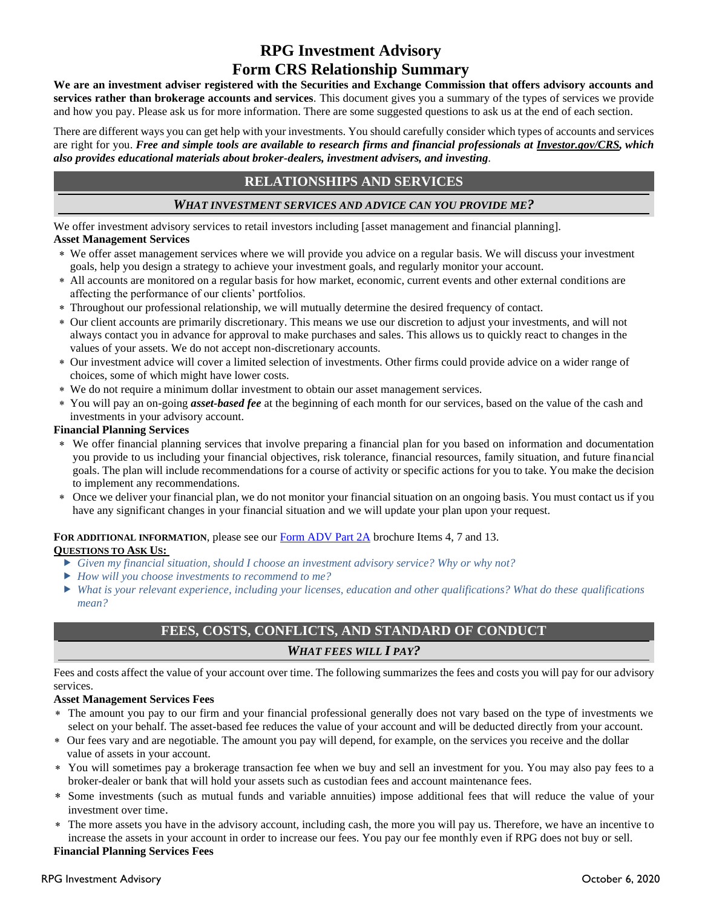# **RPG Investment Advisory Form CRS Relationship Summary**

**We are an investment adviser registered with the Securities and Exchange Commission that offers advisory accounts and services rather than brokerage accounts and services***.* This document gives you a summary of the types of services we provide and how you pay. Please ask us for more information. There are some suggested questions to ask us at the end of each section.

There are different ways you can get help with your investments. You should carefully consider which types of accounts and services are right for you. *Free and simple tools are available to research firms and financial professionals at [Investor.gov/CRS,](https://cwicompliance.sharepoint.com/Shared%20Documents/Private%20Folders/Johnson,%20Hilary/Personal/CWI/Templates/Form%20CRS/www.Investor.gov/CRS) which also provides educational materials about broker-dealers, investment advisers, and investing.* 

# **RELATIONSHIPS AND SERVICES**

# *WHAT INVESTMENT SERVICES AND ADVICE CAN YOU PROVIDE ME?*

We offer investment advisory services to retail investors including [asset management and financial planning]. **Asset Management Services**

- We offer asset management services where we will provide you advice on a regular basis. We will discuss your investment goals, help you design a strategy to achieve your investment goals, and regularly monitor your account.
- All accounts are monitored on a regular basis for how market, economic, current events and other external conditions are affecting the performance of our clients' portfolios.
- Throughout our professional relationship, we will mutually determine the desired frequency of contact.
- Our client accounts are primarily discretionary. This means we use our discretion to adjust your investments, and will not always contact you in advance for approval to make purchases and sales. This allows us to quickly react to changes in the values of your assets. We do not accept non-discretionary accounts.
- Our investment advice will cover a limited selection of investments. Other firms could provide advice on a wider range of choices, some of which might have lower costs.
- We do not require a minimum dollar investment to obtain our asset management services.
- You will pay an on-going *asset-based fee* at the beginning of each month for our services, based on the value of the cash and investments in your advisory account.

### **Financial Planning Services**

- We offer financial planning services that involve preparing a financial plan for you based on information and documentation you provide to us including your financial objectives, risk tolerance, financial resources, family situation, and future financial goals. The plan will include recommendations for a course of activity or specific actions for you to take. You make the decision to implement any recommendations.
- Once we deliver your financial plan, we do not monitor your financial situation on an ongoing basis. You must contact us if you have any significant changes in your financial situation and we will update your plan upon your request.

# FOR ADDITIONAL INFORMATION, please see our **Form ADV Part 2A** brochure Items 4, 7 and 13.

### **QUESTIONS TO ASK US:**

- *Given my financial situation, should I choose an investment advisory service? Why or why not?*
- *How will you choose investments to recommend to me?*
- *What is your relevant experience, including your licenses, education and other qualifications? What do these qualifications mean?*

# **FEES, COSTS, CONFLICTS, AND STANDARD OF CONDUCT** *WHAT FEES WILL I PAY?*

Fees and costs affect the value of your account over time. The following summarizes the fees and costs you will pay for our advisory services.

### **Asset Management Services Fees**

- The amount you pay to our firm and your financial professional generally does not vary based on the type of investments we select on your behalf. The asset-based fee reduces the value of your account and will be deducted directly from your account.
- Our fees vary and are negotiable. The amount you pay will depend, for example, on the services you receive and the dollar value of assets in your account.
- You will sometimes pay a brokerage transaction fee when we buy and sell an investment for you. You may also pay fees to a broker-dealer or bank that will hold your assets such as custodian fees and account maintenance fees.
- Some investments (such as mutual funds and variable annuities) impose additional fees that will reduce the value of your investment over time.
- The more assets you have in the advisory account, including cash, the more you will pay us. Therefore, we have an incentive to increase the assets in your account in order to increase our fees. You pay our fee monthly even if RPG does not buy or sell.

#### **Financial Planning Services Fees**